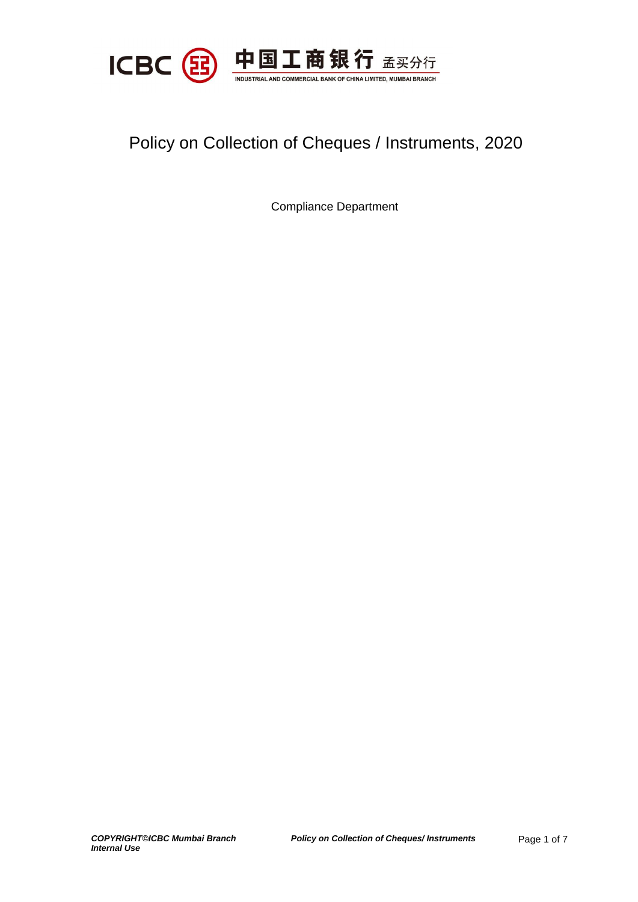

# Policy on Collection of Cheques / Instruments, 2020

Compliance Department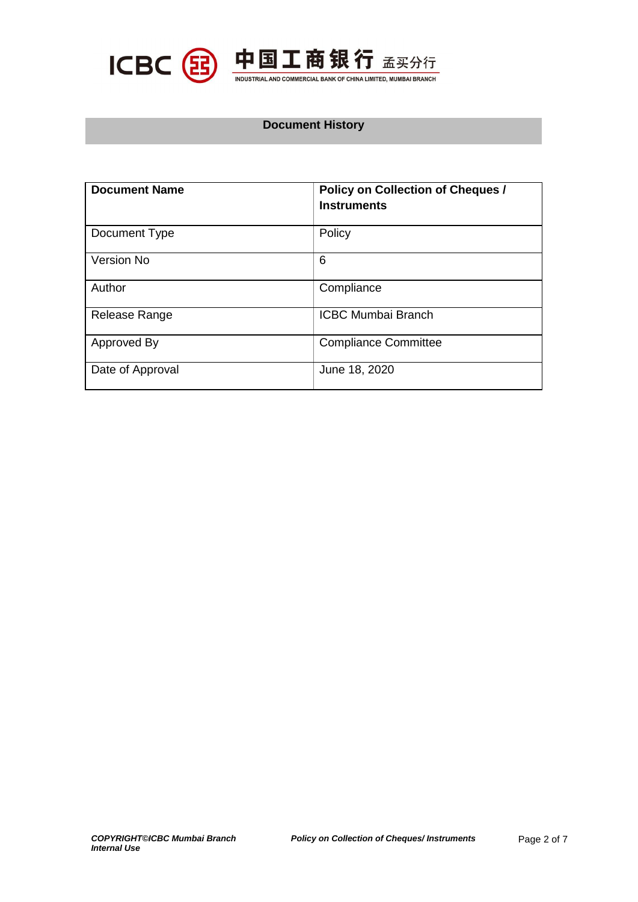



#### **Document History**

| <b>Document Name</b> | <b>Policy on Collection of Cheques /</b><br><b>Instruments</b> |
|----------------------|----------------------------------------------------------------|
| Document Type        | Policy                                                         |
| Version No           | 6                                                              |
| Author               | Compliance                                                     |
| Release Range        | <b>ICBC Mumbai Branch</b>                                      |
| Approved By          | <b>Compliance Committee</b>                                    |
| Date of Approval     | June 18, 2020                                                  |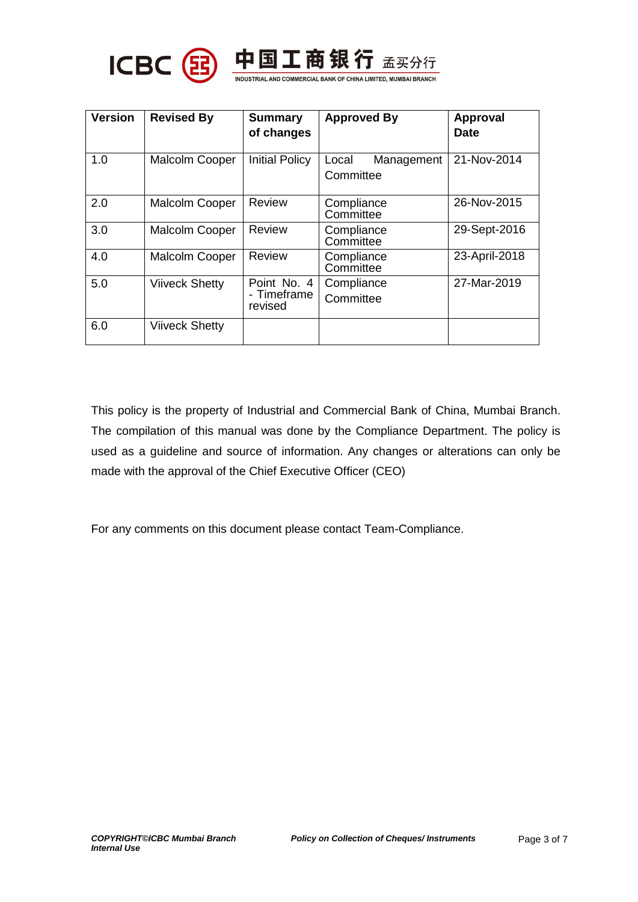



.<br>INDUSTRIAL AND COMMERCIAL BANK OF CHINA LIMITED, MUMBAI BRANCH

| <b>Version</b> | <b>Revised By</b>     | <b>Summary</b><br>of changes          | <b>Approved By</b>               | <b>Approval</b><br><b>Date</b> |
|----------------|-----------------------|---------------------------------------|----------------------------------|--------------------------------|
| 1.0            | <b>Malcolm Cooper</b> | <b>Initial Policy</b>                 | Management<br>Local<br>Committee | 21-Nov-2014                    |
| 2.0            | Malcolm Cooper        | Review                                | Compliance<br>Committee          | 26-Nov-2015                    |
| 3.0            | <b>Malcolm Cooper</b> | Review                                | Compliance<br>Committee          | 29-Sept-2016                   |
| 4.0            | <b>Malcolm Cooper</b> | Review                                | Compliance<br>Committee          | 23-April-2018                  |
| 5.0            | <b>Viiveck Shetty</b> | Point No. 4<br>- Timeframe<br>revised | Compliance<br>Committee          | 27-Mar-2019                    |
| 6.0            | <b>Viiveck Shetty</b> |                                       |                                  |                                |

This policy is the property of Industrial and Commercial Bank of China, Mumbai Branch. The compilation of this manual was done by the Compliance Department. The policy is used as a guideline and source of information. Any changes or alterations can only be made with the approval of the Chief Executive Officer (CEO)

For any comments on this document please contact Team-Compliance.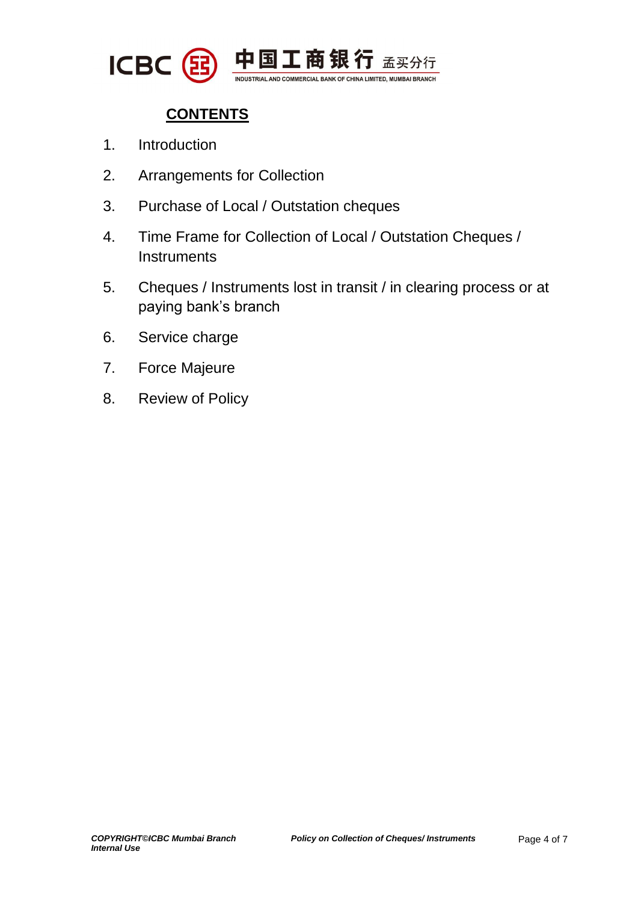

# **CONTENTS**

- 1. Introduction
- 2. Arrangements for Collection
- 3. Purchase of Local / Outstation cheques
- 4. Time Frame for Collection of Local / Outstation Cheques / **Instruments**
- 5. Cheques / Instruments lost in transit / in clearing process or at paying bank's branch
- 6. Service charge
- 7. Force Majeure
- 8. Review of Policy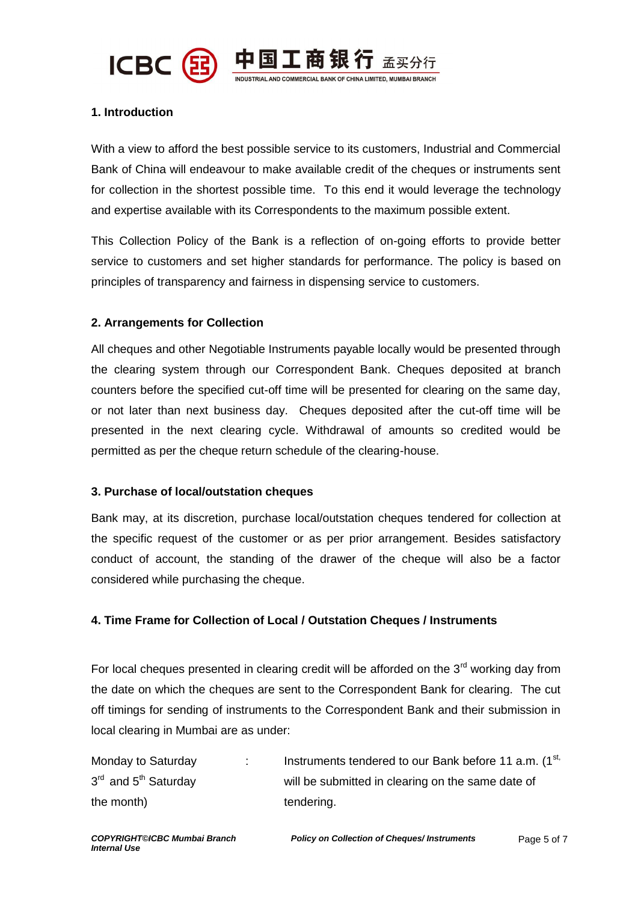

### **1. Introduction**

With a view to afford the best possible service to its customers, Industrial and Commercial Bank of China will endeavour to make available credit of the cheques or instruments sent for collection in the shortest possible time. To this end it would leverage the technology and expertise available with its Correspondents to the maximum possible extent.

This Collection Policy of the Bank is a reflection of on-going efforts to provide better service to customers and set higher standards for performance. The policy is based on principles of transparency and fairness in dispensing service to customers.

#### **2. Arrangements for Collection**

All cheques and other Negotiable Instruments payable locally would be presented through the clearing system through our Correspondent Bank. Cheques deposited at branch counters before the specified cut-off time will be presented for clearing on the same day, or not later than next business day. Cheques deposited after the cut-off time will be presented in the next clearing cycle. Withdrawal of amounts so credited would be permitted as per the cheque return schedule of the clearing-house.

#### **3. Purchase of local/outstation cheques**

Bank may, at its discretion, purchase local/outstation cheques tendered for collection at the specific request of the customer or as per prior arrangement. Besides satisfactory conduct of account, the standing of the drawer of the cheque will also be a factor considered while purchasing the cheque.

#### **4. Time Frame for Collection of Local / Outstation Cheques / Instruments**

For local cheques presented in clearing credit will be afforded on the  $3<sup>rd</sup>$  working day from the date on which the cheques are sent to the Correspondent Bank for clearing. The cut off timings for sending of instruments to the Correspondent Bank and their submission in local clearing in Mumbai are as under:

| Monday to Saturday       | Instruments tendered to our Bank before 11 a.m. (1 <sup>st,</sup> |
|--------------------------|-------------------------------------------------------------------|
| $3rd$ and $5th$ Saturday | will be submitted in clearing on the same date of                 |
| the month)               | tendering.                                                        |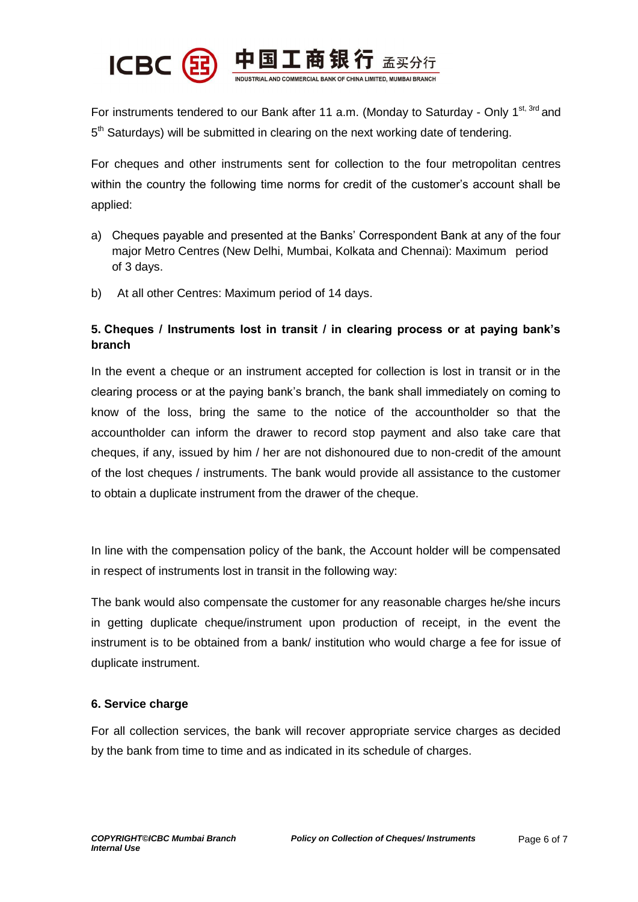

For instruments tendered to our Bank after 11 a.m. (Monday to Saturday - Only 1<sup>st, 3rd</sup> and 5<sup>th</sup> Saturdays) will be submitted in clearing on the next working date of tendering.

For cheques and other instruments sent for collection to the four metropolitan centres within the country the following time norms for credit of the customer's account shall be applied:

- a) Cheques payable and presented at the Banks' Correspondent Bank at any of the four major Metro Centres (New Delhi, Mumbai, Kolkata and Chennai): Maximum period of 3 days.
- b) At all other Centres: Maximum period of 14 days.

# **5. Cheques / Instruments lost in transit / in clearing process or at paying bank's branch**

In the event a cheque or an instrument accepted for collection is lost in transit or in the clearing process or at the paying bank's branch, the bank shall immediately on coming to know of the loss, bring the same to the notice of the accountholder so that the accountholder can inform the drawer to record stop payment and also take care that cheques, if any, issued by him / her are not dishonoured due to non-credit of the amount of the lost cheques / instruments. The bank would provide all assistance to the customer to obtain a duplicate instrument from the drawer of the cheque.

In line with the compensation policy of the bank, the Account holder will be compensated in respect of instruments lost in transit in the following way:

The bank would also compensate the customer for any reasonable charges he/she incurs in getting duplicate cheque/instrument upon production of receipt, in the event the instrument is to be obtained from a bank/ institution who would charge a fee for issue of duplicate instrument.

## **6. Service charge**

For all collection services, the bank will recover appropriate service charges as decided by the bank from time to time and as indicated in its schedule of charges.